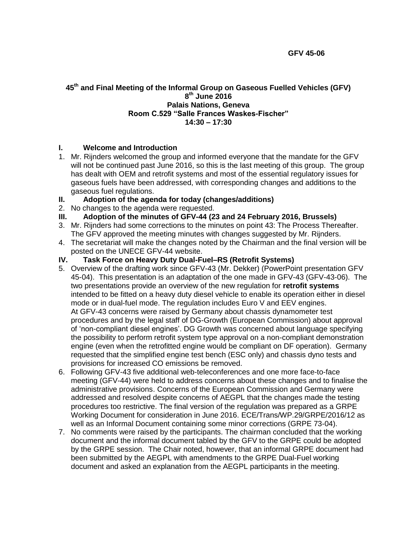#### **45 th and Final Meeting of the Informal Group on Gaseous Fuelled Vehicles (GFV) 8 th June 2016 Palais Nations, Geneva Room C.529 "Salle Frances Waskes-Fischer" 14:30 – 17:30**

## **I. Welcome and Introduction**

- 1. Mr. Rijnders welcomed the group and informed everyone that the mandate for the GFV will not be continued past June 2016, so this is the last meeting of this group. The group has dealt with OEM and retrofit systems and most of the essential regulatory issues for gaseous fuels have been addressed, with corresponding changes and additions to the gaseous fuel regulations.
- **II. Adoption of the agenda for today (changes/additions)**
- 2. No changes to the agenda were requested.
- **III. Adoption of the minutes of GFV-44 (23 and 24 February 2016, Brussels)**
- 3. Mr. Rijnders had some corrections to the minutes on point 43: The Process Thereafter. The GFV approved the meeting minutes with changes suggested by Mr. Rijnders.
- 4. The secretariat will make the changes noted by the Chairman and the final version will be posted on the UNECE GFV-44 website.
- **IV. Task Force on Heavy Duty Dual-Fuel–RS (Retrofit Systems)**
- 5. Overview of the drafting work since GFV-43 (Mr. Dekker) (PowerPoint presentation GFV 45-04). This presentation is an adaptation of the one made in GFV-43 (GFV-43-06). The two presentations provide an overview of the new regulation for **retrofit systems**  intended to be fitted on a heavy duty diesel vehicle to enable its operation either in diesel mode or in dual-fuel mode. The regulation includes Euro V and EEV engines. At GFV-43 concerns were raised by Germany about chassis dynamometer test procedures and by the legal staff of DG-Growth (European Commission) about approval of 'non-compliant diesel engines'. DG Growth was concerned about language specifying the possibility to perform retrofit system type approval on a non-compliant demonstration engine (even when the retrofitted engine would be compliant on DF operation). Germany requested that the simplified engine test bench (ESC only) and chassis dyno tests and provisions for increased CO emissions be removed.
- 6. Following GFV-43 five additional web-teleconferences and one more face-to-face meeting (GFV-44) were held to address concerns about these changes and to finalise the administrative provisions. Concerns of the European Commission and Germany were addressed and resolved despite concerns of AEGPL that the changes made the testing procedures too restrictive. The final version of the regulation was prepared as a GRPE Working Document for consideration in June 2016. ECE/Trans/WP.29/GRPE/2016/12 as well as an Informal Document containing some minor corrections (GRPE 73-04).
- 7. No comments were raised by the participants. The chairman concluded that the working document and the informal document tabled by the GFV to the GRPE could be adopted by the GRPE session. The Chair noted, however, that an informal GRPE document had been submitted by the AEGPL with amendments to the GRPE Dual-Fuel working document and asked an explanation from the AEGPL participants in the meeting.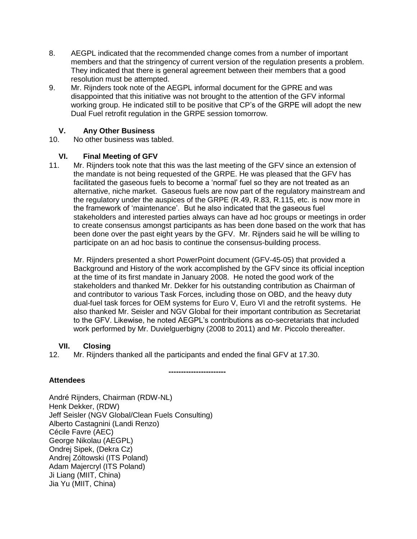- 8. AEGPL indicated that the recommended change comes from a number of important members and that the stringency of current version of the regulation presents a problem. They indicated that there is general agreement between their members that a good resolution must be attempted.
- 9. Mr. Rijnders took note of the AEGPL informal document for the GPRE and was disappointed that this initiative was not brought to the attention of the GFV informal working group. He indicated still to be positive that CP's of the GRPE will adopt the new Dual Fuel retrofit regulation in the GRPE session tomorrow.

# **V. Any Other Business**

No other business was tabled.

#### **VI. Final Meeting of GFV**

11. Mr. Rijnders took note that this was the last meeting of the GFV since an extension of the mandate is not being requested of the GRPE. He was pleased that the GFV has facilitated the gaseous fuels to become a 'normal' fuel so they are not treated as an alternative, niche market. Gaseous fuels are now part of the regulatory mainstream and the regulatory under the auspices of the GRPE (R.49, R.83, R.115, etc. is now more in the framework of 'maintenance'. But he also indicated that the gaseous fuel stakeholders and interested parties always can have ad hoc groups or meetings in order to create consensus amongst participants as has been done based on the work that has been done over the past eight years by the GFV. Mr. Rijnders said he will be willing to participate on an ad hoc basis to continue the consensus-building process.

Mr. Rijnders presented a short PowerPoint document (GFV-45-05) that provided a Background and History of the work accomplished by the GFV since its official inception at the time of its first mandate in January 2008. He noted the good work of the stakeholders and thanked Mr. Dekker for his outstanding contribution as Chairman of and contributor to various Task Forces, including those on OBD, and the heavy duty dual-fuel task forces for OEM systems for Euro V, Euro VI and the retrofit systems. He also thanked Mr. Seisler and NGV Global for their important contribution as Secretariat to the GFV. Likewise, he noted AEGPL's contributions as co-secretariats that included work performed by Mr. Duvielguerbigny (2008 to 2011) and Mr. Piccolo thereafter.

## **VII. Closing**

12. Mr. Rijnders thanked all the participants and ended the final GFV at 17.30.

#### **----------------------- Attendees**

André Rijnders, Chairman (RDW-NL) Henk Dekker, (RDW) Jeff Seisler (NGV Global/Clean Fuels Consulting) Alberto Castagnini (Landi Renzo) Cécile Favre (AEC) George Nikolau (AEGPL) Ondrej Sipek, (Dekra Cz) Andrej Zóltowski (ITS Poland) Adam Majercryl (ITS Poland) Ji Liang (MIIT, China) Jia Yu (MIIT, China)